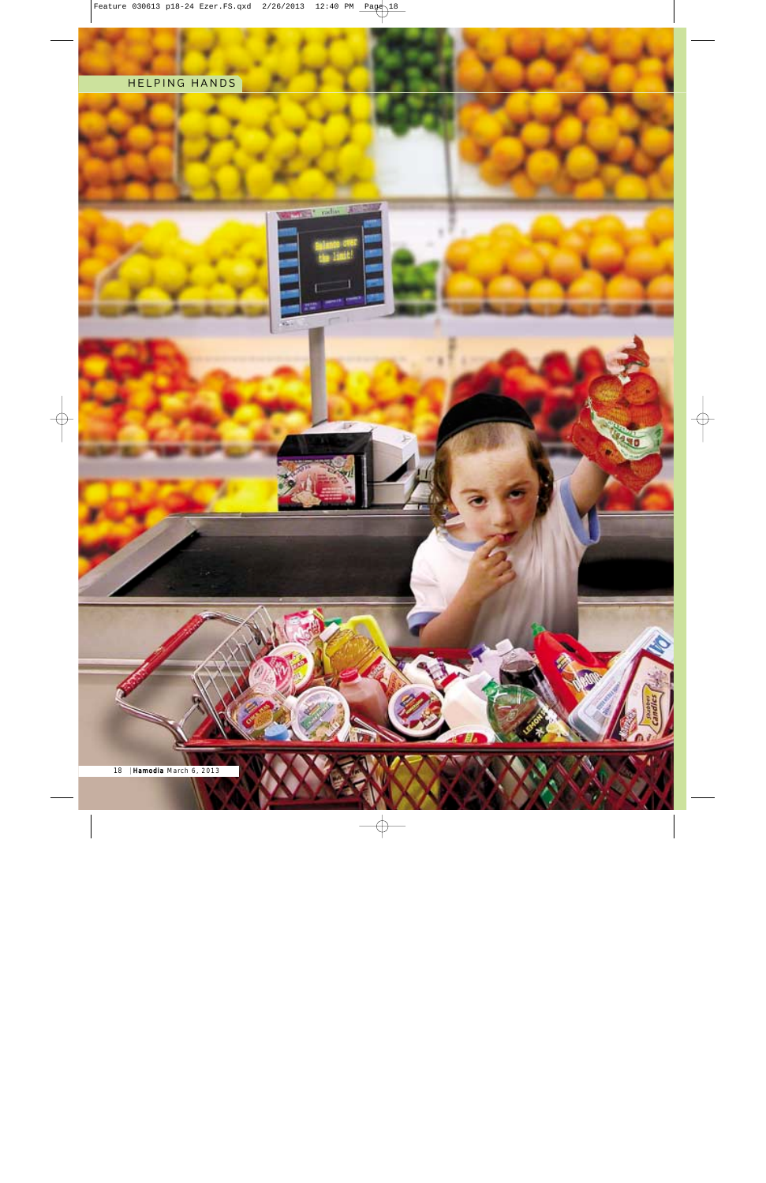### HELPING HANDS





**IP** 

г

18 Hamodia March 6, 2013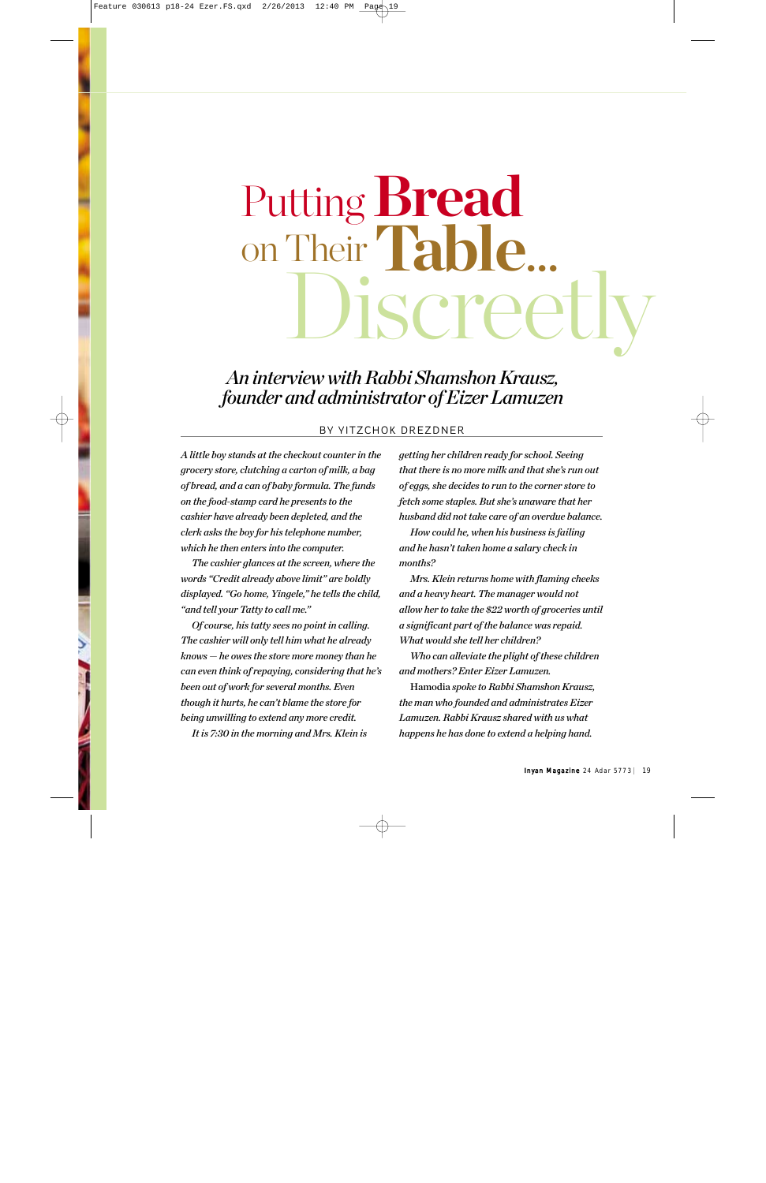# Discreetly Putting **Bread** on Their **Table**.

## *An interview with Rabbi Shamshon Krausz, founder and administrator of Eizer Lamuzen*

#### BY YITZCHOK DREZDNER

*A little boy stands at the checkout counter in the grocery store, clutching a carton of milk, a bag of bread, and a can of baby formula. The funds on the food-stamp card he presents to the cashier have already been depleted, and the clerk asks the boy for his telephone number, which he then enters into the computer.* 

*The cashier glances at the screen, where the words "Credit already above limit" are boldly displayed. "Go home, Yingele," he tells the child, "and tell your Tatty to call me."*

*Of course, his tatty sees no point in calling. The cashier will only tell him what he already knows — he owes the store more money than he can even think of repaying, considering that he's been out of work for several months. Even though it hurts, he can't blame the store for being unwilling to extend any more credit. It is 7:30 in the morning and Mrs. Klein is*

*getting her children ready for school. Seeing that there is no more milk and that she's run out of eggs, she decides to run to the corner store to fetch some staples. But she's unaware that her husband did not take care of an overdue balance.* 

*How could he, when his business is failing and he hasn't taken home a salary check in months?*

*Mrs. Klein returns home with flaming cheeks and a heavy heart. The manager would not allow her to take the \$22 worth of groceries until a significant part of the balance was repaid. What would she tell her children?*

*Who can alleviate the plight of these children and mothers? Enter Eizer Lamuzen.*

Hamodia *spoke to Rabbi Shamshon Krausz, the man who founded and administrates Eizer Lamuzen. Rabbi Krausz shared with us what happens he has done to extend a helping hand.*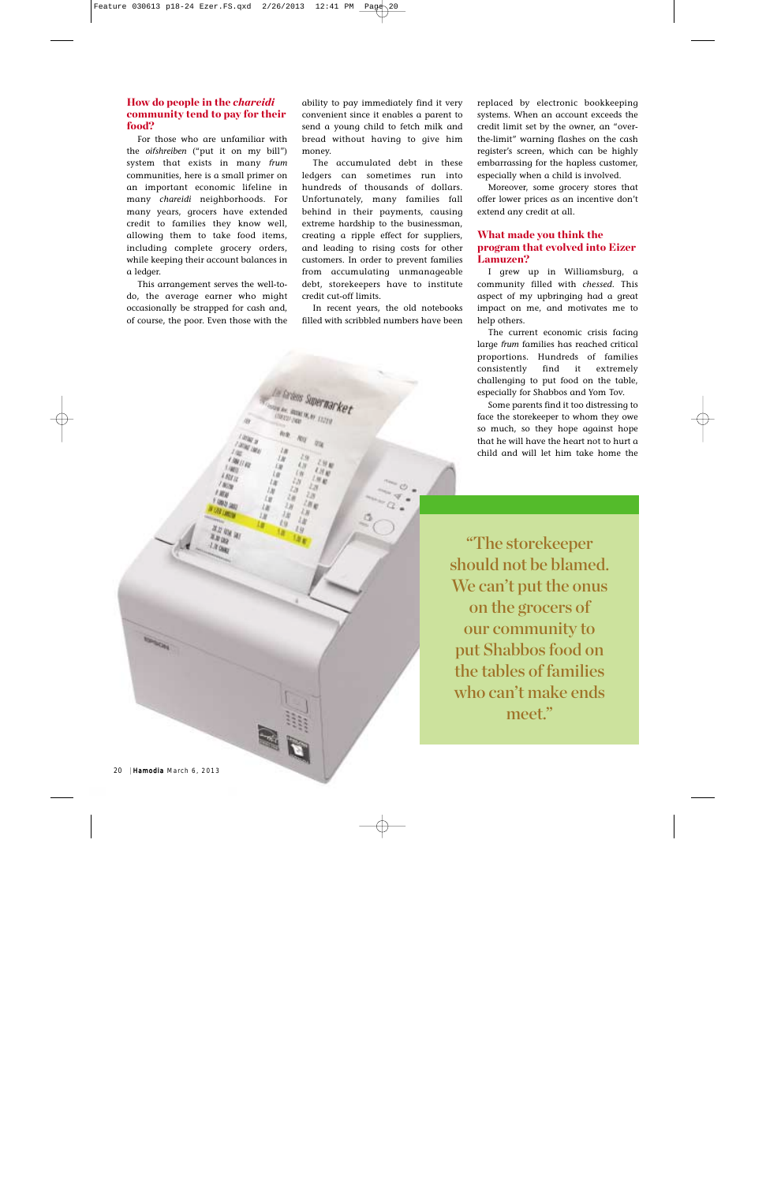#### How do people in the *chareidi* community tend to pay for their food?

For those who are unfamiliar with the *oifshreiben* ("put it on my bill") system that exists in many *frum* communities, here is a small primer on an important economic lifeline in many *chareidi* neighborhoods. For many years, grocers have extended credit to families they know well, allowing them to take food items, including complete grocery orders, while keeping their account balances in a ledger.

This arrangement serves the well-todo, the average earner who might occasionally be strapped for cash and, of course, the poor. Even those with the ability to pay immediately find it very convenient since it enables a parent to send a young child to fetch milk and bread without having to give him money.

The accumulated debt in these ledgers can sometimes run into hundreds of thousands of dollars. Unfortunately, many families fall behind in their payments, causing extreme hardship to the businessman, creating a ripple effect for suppliers, and leading to rising costs for other customers. In order to prevent families from accumulating unmanageable debt, storekeepers have to institute credit cut-off limits.

In recent years, the old notebooks filled with scribbled numbers have been

replaced by electronic bookkeeping systems. When an account exceeds the credit limit set by the owner, an "overthe-limit" warning flashes on the cash register's screen, which can be highly embarrassing for the hapless customer, especially when a child is involved.

Moreover, some grocery stores that offer lower prices as an incentive don't extend any credit at all.

#### What made you think the program that evolved into Eizer Lamuzen?

I grew up in Williamsburg, a community filled with *chessed*. This aspect of my upbringing had a great impact on me, and motivates me to help others.

The current economic crisis facing large *frum* families has reached critical proportions. Hundreds of families consistently find it extremely challenging to put food on the table, especially for Shabbos and Yom Tov.

Some parents find it too distressing to face the storekeeper to whom they owe so much, so they hope against hope that he will have the heart not to hurt a child and will let him take home the

"The storekeeper should not be blamed. We can't put the onus on the grocers of our community to put Shabbos food on the tables of families who can't make ends meet."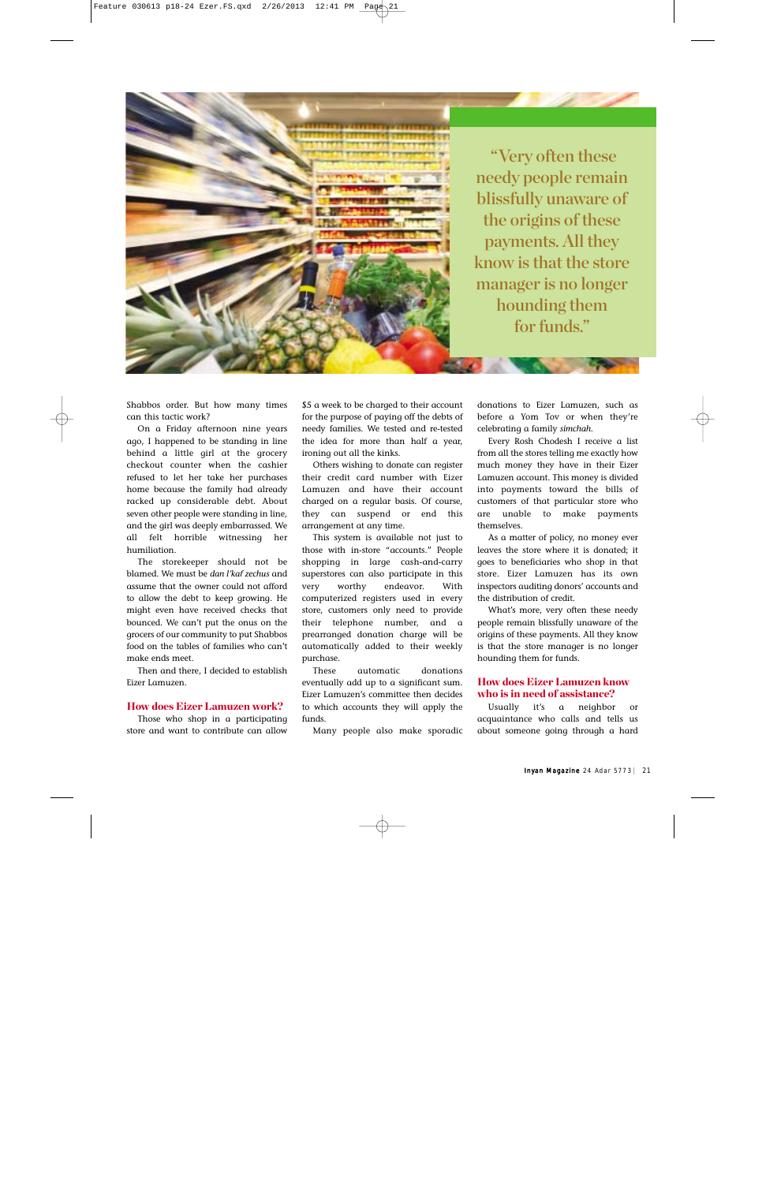"Very often these needy people remain blissfully unaware of the origins of these payments. All they know is that the store manager is no longer hounding them for funds."

Shabbos order. But how many times can this tactic work?

On a Friday afternoon nine years ago, I happened to be standing in line behind a little girl at the grocery checkout counter when the cashier refused to let her take her purchases home because the family had already racked up considerable debt. About seven other people were standing in line, and the girl was deeply embarrassed. We all felt horrible witnessing her humiliation.

The storekeeper should not be blamed. We must be *dan l'kaf zechus* and assume that the owner could not afford to allow the debt to keep growing. He might even have received checks that bounced. We can't put the onus on the grocers of our community to put Shabbos food on the tables of families who can't make ends meet.

Then and there, I decided to establish Eizer Lamuzen.

#### How does Eizer Lamuzen work?

Those who shop in a participating store and want to contribute can allow

\$5 a week to be charged to their account for the purpose of paying off the debts of needy families. We tested and re-tested the idea for more than half a year, ironing out all the kinks.

Others wishing to donate can register their credit card number with Eizer Lamuzen and have their account charged on a regular basis. Of course, they can suspend or end this arrangement at any time.

This system is available not just to those with in-store "accounts." People shopping in large cash-and-carry superstores can also participate in this very worthy endeavor. With computerized registers used in every store, customers only need to provide their telephone number, and a prearranged donation charge will be automatically added to their weekly purchase.

These automatic donations eventually add up to a significant sum. Eizer Lamuzen's committee then decides to which accounts they will apply the funds.

Many people also make sporadic

donations to Eizer Lamuzen, such as before a Yom Tov or when they're celebrating a family *simchah*.

Every Rosh Chodesh I receive a list from all the stores telling me exactly how much money they have in their Eizer Lamuzen account. This money is divided into payments toward the bills of customers of that particular store who are unable to make payments themselves.

As a matter of policy, no money ever leaves the store where it is donated; it goes to beneficiaries who shop in that store. Eizer Lamuzen has its own inspectors auditing donors' accounts and the distribution of credit.

What's more, very often these needy people remain blissfully unaware of the origins of these payments. All they know is that the store manager is no longer hounding them for funds.

#### How does Eizer Lamuzen know who is in need of assistance?

Usually it's a neighbor or acquaintance who calls and tells us about someone going through a hard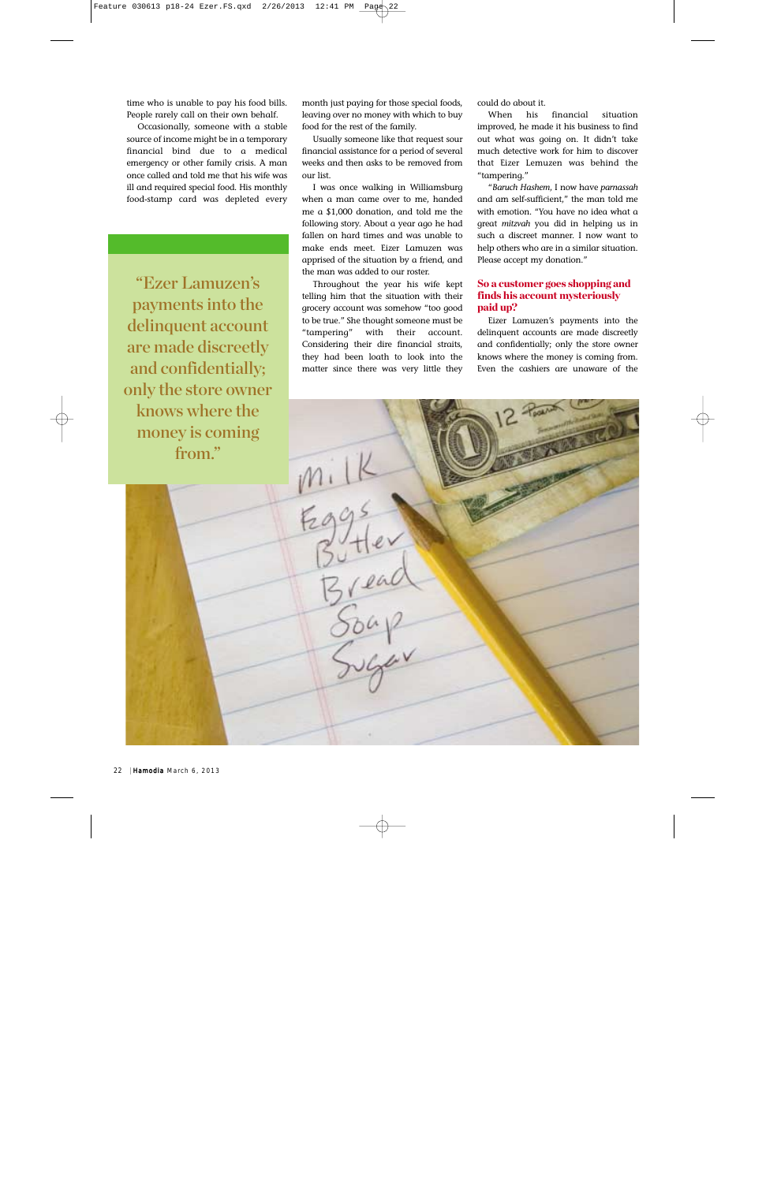time who is unable to pay his food bills. People rarely call on their own behalf.

Occasionally, someone with a stable source of income might be in a temporary financial bind due to a medical emergency or other family crisis. A man once called and told me that his wife was ill and required special food. His monthly food-stamp card was depleted every

"Ezer Lamuzen's payments into the delinquent account are made discreetly and confidentially; only the store owner knows where the money is coming from."

month just paying for those special foods, leaving over no money with which to buy food for the rest of the family.

Usually someone like that request sour financial assistance for a period of several weeks and then asks to be removed from our list.

I was once walking in Williamsburg when a man came over to me, handed me a \$1,000 donation, and told me the following story. About a year ago he had fallen on hard times and was unable to make ends meet. Eizer Lamuzen was apprised of the situation by a friend, and the man was added to our roster.

Throughout the year his wife kept telling him that the situation with their grocery account was somehow "too good to be true." She thought someone must be "tampering" with their account. Considering their dire financial straits, they had been loath to look into the matter since there was very little they

could do about it.

When his financial situation improved, he made it his business to find out what was going on. It didn't take much detective work for him to discover that Eizer Lemuzen was behind the "tampering."

"*Baruch Hashem*, I now have *parnassah* and am self-sufficient," the man told me with emotion. "You have no idea what a great *mitzvah* you did in helping us in such a discreet manner. I now want to help others who are in a similar situation. Please accept my donation."

#### So a customer goes shopping and finds his account mysteriously paid up?

Eizer Lamuzen's payments into the delinquent accounts are made discreetly and confidentially; only the store owner knows where the money is coming from. Even the cashiers are unaware of the

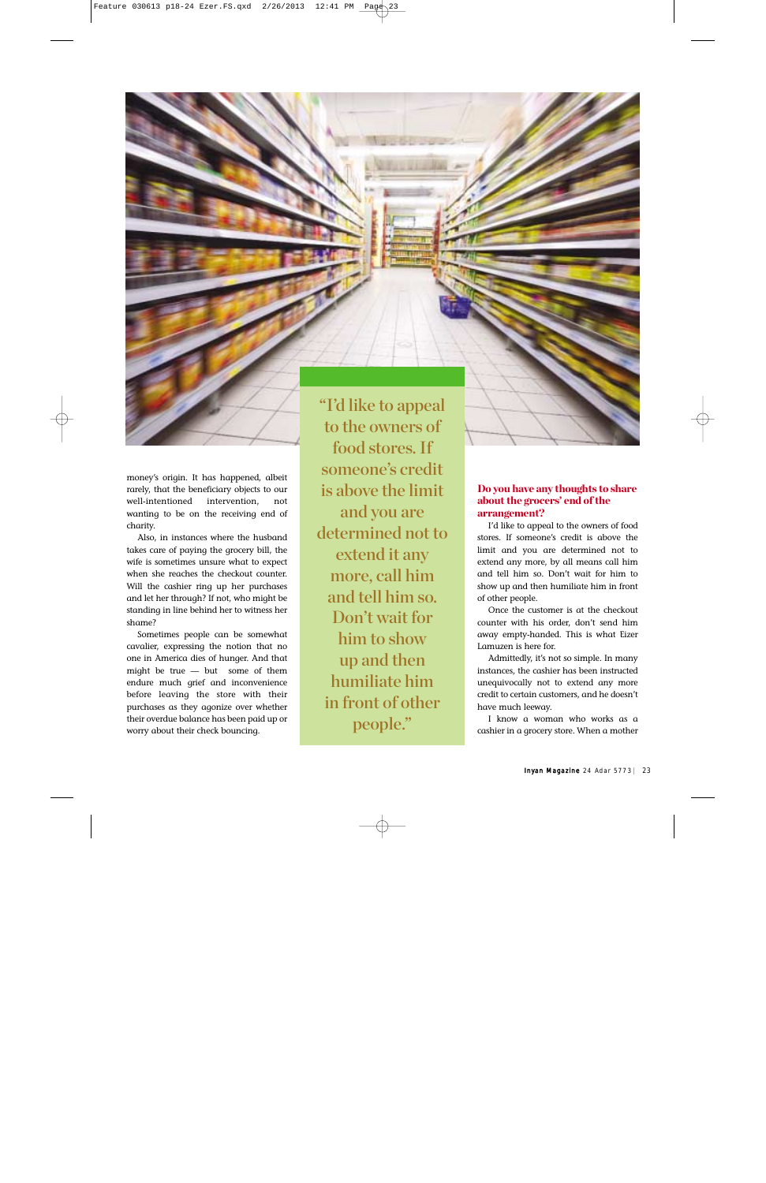money's origin. It has happened, albeit rarely, that the beneficiary objects to our well-intentioned intervention, not wanting to be on the receiving end of charity.

Also, in instances where the husband takes care of paying the grocery bill, the wife is sometimes unsure what to expect when she reaches the checkout counter. Will the cashier ring up her purchases and let her through? If not, who might be standing in line behind her to witness her shame?

Sometimes people can be somewhat cavalier, expressing the notion that no one in America dies of hunger. And that might be true — but some of them endure much grief and inconvenience before leaving the store with their purchases as they agonize over whether their overdue balance has been paid up or worry about their check bouncing.

"I'd like to appeal to the owners of food stores. If someone's credit is above the limit and you are determined not to extend it any more, call him and tell him so. Don't wait for him to show up and then humiliate him in front of other people."

#### Do you have any thoughts to share about the grocers' end of the arrangement?

I'd like to appeal to the owners of food stores. If someone's credit is above the limit and you are determined not to extend any more, by all means call him and tell him so. Don't wait for him to show up and then humiliate him in front of other people.

Once the customer is at the checkout counter with his order, don't send him away empty-handed. This is what Eizer Lamuzen is here for.

Admittedly, it's not so simple. In many instances, the cashier has been instructed unequivocally not to extend any more credit to certain customers, and he doesn't have much leeway.

I know a woman who works as a cashier in a grocery store. When a mother